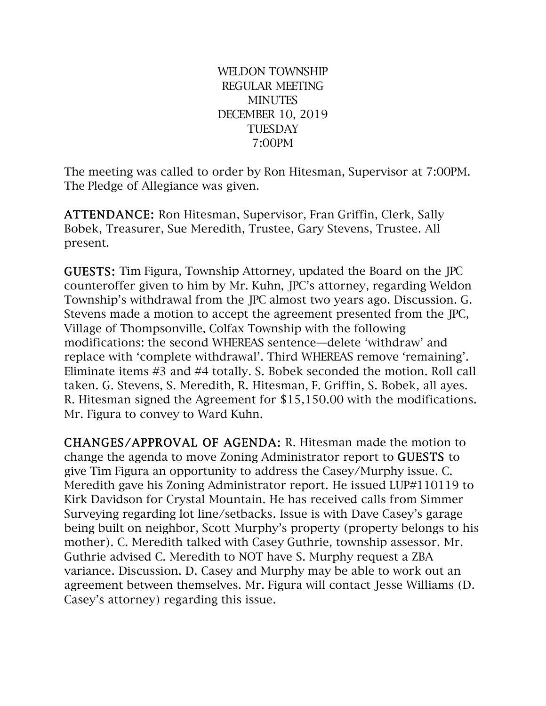WELDON TOWNSHIP REGULAR MEETING **MINUTES** DECEMBER 10, 2019 **TUESDAY** 7:00PM

The meeting was called to order by Ron Hitesman, Supervisor at 7:00PM. The Pledge of Allegiance was given.

ATTENDANCE: Ron Hitesman, Supervisor, Fran Griffin, Clerk, Sally Bobek, Treasurer, Sue Meredith, Trustee, Gary Stevens, Trustee. All present.

GUESTS: Tim Figura, Township Attorney, updated the Board on the JPC counteroffer given to him by Mr. Kuhn, JPC's attorney, regarding Weldon Township's withdrawal from the JPC almost two years ago. Discussion. G. Stevens made a motion to accept the agreement presented from the JPC, Village of Thompsonville, Colfax Township with the following modifications: the second WHEREAS sentence—delete 'withdraw' and replace with 'complete withdrawal'. Third WHEREAS remove 'remaining'. Eliminate items #3 and #4 totally. S. Bobek seconded the motion. Roll call taken. G. Stevens, S. Meredith, R. Hitesman, F. Griffin, S. Bobek, all ayes. R. Hitesman signed the Agreement for \$15,150.00 with the modifications. Mr. Figura to convey to Ward Kuhn.

CHANGES/APPROVAL OF AGENDA: R. Hitesman made the motion to change the agenda to move Zoning Administrator report to GUESTS to give Tim Figura an opportunity to address the Casey/Murphy issue. C. Meredith gave his Zoning Administrator report. He issued LUP#110119 to Kirk Davidson for Crystal Mountain. He has received calls from Simmer Surveying regarding lot line/setbacks. Issue is with Dave Casey's garage being built on neighbor, Scott Murphy's property (property belongs to his mother). C. Meredith talked with Casey Guthrie, township assessor. Mr. Guthrie advised C. Meredith to NOT have S. Murphy request a ZBA variance. Discussion. D. Casey and Murphy may be able to work out an agreement between themselves. Mr. Figura will contact Jesse Williams (D. Casey's attorney) regarding this issue.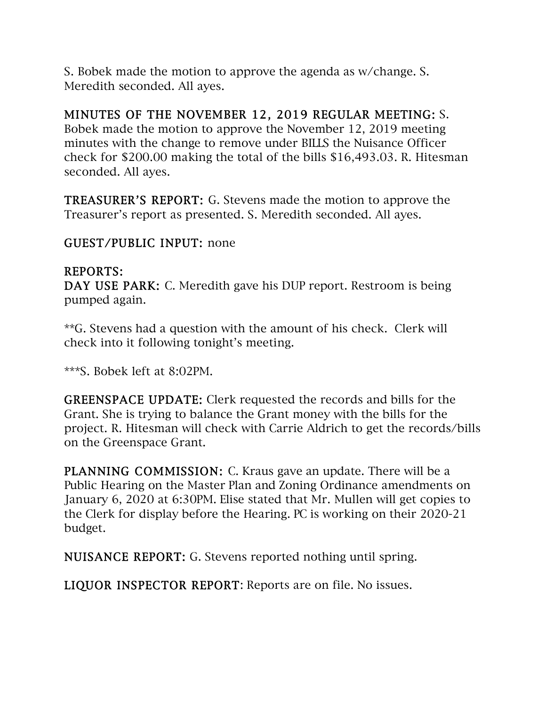S. Bobek made the motion to approve the agenda as w/change. S. Meredith seconded. All ayes.

## MINUTES OF THE NOVEMBER 12, 2019 REGULAR MEETING: S.

Bobek made the motion to approve the November 12, 2019 meeting minutes with the change to remove under BILLS the Nuisance Officer check for \$200.00 making the total of the bills \$16,493.03. R. Hitesman seconded. All ayes.

TREASURER'S REPORT: G. Stevens made the motion to approve the Treasurer's report as presented. S. Meredith seconded. All ayes.

### GUEST/PUBLIC INPUT: none

#### REPORTS:

DAY USE PARK: C. Meredith gave his DUP report. Restroom is being pumped again.

\*\*G. Stevens had a question with the amount of his check. Clerk will check into it following tonight's meeting.

\*\*\*S. Bobek left at 8:02PM.

GREENSPACE UPDATE: Clerk requested the records and bills for the Grant. She is trying to balance the Grant money with the bills for the project. R. Hitesman will check with Carrie Aldrich to get the records/bills on the Greenspace Grant.

PLANNING COMMISSION: C. Kraus gave an update. There will be a Public Hearing on the Master Plan and Zoning Ordinance amendments on January 6, 2020 at 6:30PM. Elise stated that Mr. Mullen will get copies to the Clerk for display before the Hearing. PC is working on their 2020-21 budget.

NUISANCE REPORT: G. Stevens reported nothing until spring.

LIQUOR INSPECTOR REPORT: Reports are on file. No issues.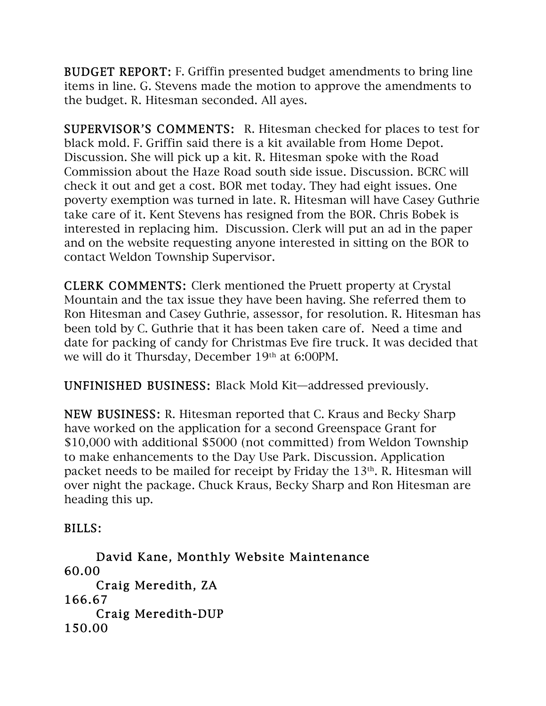BUDGET REPORT: F. Griffin presented budget amendments to bring line items in line. G. Stevens made the motion to approve the amendments to the budget. R. Hitesman seconded. All ayes.

SUPERVISOR'S COMMENTS: R. Hitesman checked for places to test for black mold. F. Griffin said there is a kit available from Home Depot. Discussion. She will pick up a kit. R. Hitesman spoke with the Road Commission about the Haze Road south side issue. Discussion. BCRC will check it out and get a cost. BOR met today. They had eight issues. One poverty exemption was turned in late. R. Hitesman will have Casey Guthrie take care of it. Kent Stevens has resigned from the BOR. Chris Bobek is interested in replacing him. Discussion. Clerk will put an ad in the paper and on the website requesting anyone interested in sitting on the BOR to contact Weldon Township Supervisor.

CLERK COMMENTS: Clerk mentioned the Pruett property at Crystal Mountain and the tax issue they have been having. She referred them to Ron Hitesman and Casey Guthrie, assessor, for resolution. R. Hitesman has been told by C. Guthrie that it has been taken care of. Need a time and date for packing of candy for Christmas Eve fire truck. It was decided that we will do it Thursday, December 19th at 6:00PM.

UNFINISHED BUSINESS: Black Mold Kit—addressed previously.

NEW BUSINESS: R. Hitesman reported that C. Kraus and Becky Sharp have worked on the application for a second Greenspace Grant for \$10,000 with additional \$5000 (not committed) from Weldon Township to make enhancements to the Day Use Park. Discussion. Application packet needs to be mailed for receipt by Friday the 13th. R. Hitesman will over night the package. Chuck Kraus, Becky Sharp and Ron Hitesman are heading this up.

# BILLS:

```
David Kane, Monthly Website Maintenance 
60.00 
     Craig Meredith, ZA 
166.67 
     Craig Meredith-DUP 
150.00
```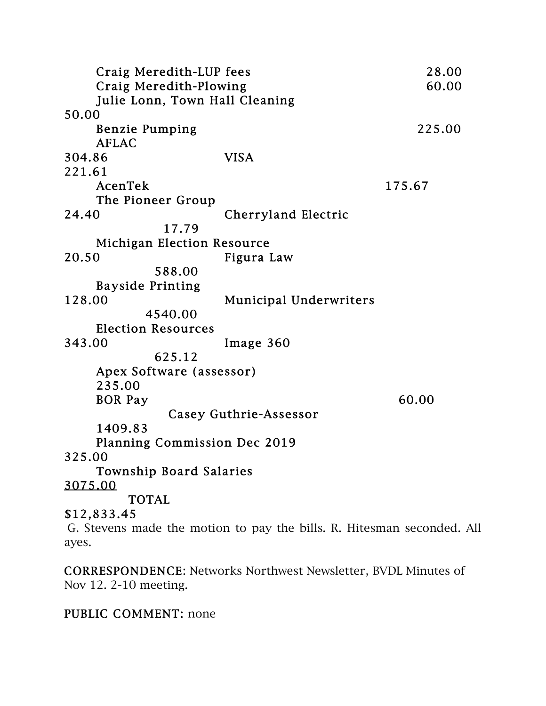Craig Meredith-LUP fees 28.00 Craig Meredith-Plowing 60.00 Julie Lonn, Town Hall Cleaning 50.00 Benzie Pumping 225.00 AFLAC 304.86 VISA 221.61 AcenTek 175.67 The Pioneer Group 24.40 Cherryland Electric 17.79 Michigan Election Resource 20.50 Figura Law 588.00 Bayside Printing 128.00 Municipal Underwriters 4540.00 Election Resources 343.00 Image 360 625.12 Apex Software (assessor) 235.00 BOR Pay 60.00 Casey Guthrie-Assessor 1409.83 Planning Commission Dec 2019 325.00 Township Board Salaries 3075.00 TOTAL \$12,833.45

 G. Stevens made the motion to pay the bills. R. Hitesman seconded. All ayes.

CORRESPONDENCE: Networks Northwest Newsletter, BVDL Minutes of Nov 12. 2-10 meeting.

#### PUBLIC COMMENT: none